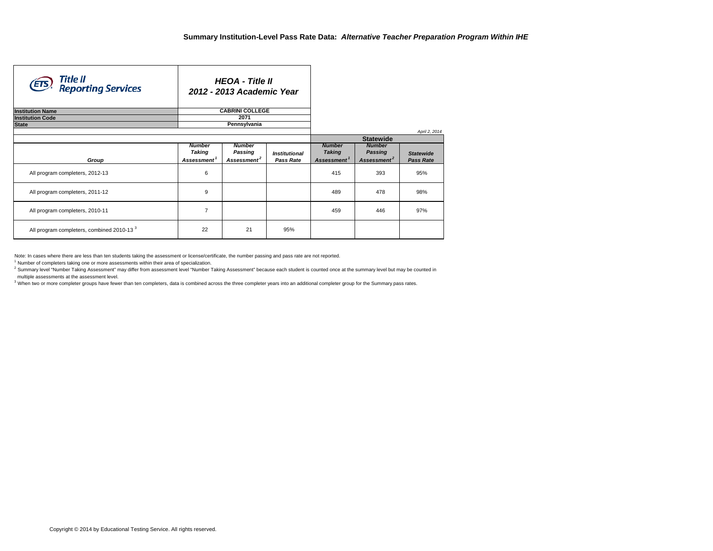| Title II<br>Reporting Services<br>(ETS)               |                         | <b>HEOA</b> - Title II<br>2012 - 2013 Academic Year |                      |                         |                         |                  |
|-------------------------------------------------------|-------------------------|-----------------------------------------------------|----------------------|-------------------------|-------------------------|------------------|
| <b>Institution Name</b>                               |                         | <b>CABRINI COLLEGE</b>                              |                      |                         |                         |                  |
| <b>Institution Code</b>                               |                         | 2071                                                |                      |                         |                         |                  |
| <b>State</b>                                          |                         | Pennsylvania                                        |                      |                         |                         |                  |
|                                                       |                         |                                                     |                      |                         |                         | April 2, 2014    |
|                                                       |                         |                                                     |                      |                         | <b>Statewide</b>        |                  |
|                                                       | <b>Number</b>           | <b>Number</b>                                       |                      | <b>Number</b>           | <b>Number</b>           |                  |
|                                                       | Taking                  | Passing                                             | <b>Institutional</b> | <b>Taking</b>           | Passing                 | <b>Statewide</b> |
| Group                                                 | Assessment <sup>1</sup> | Assessment <sup>2</sup>                             | Pass Rate            | Assessment <sup>1</sup> | Assessment <sup>2</sup> | <b>Pass Rate</b> |
| All program completers, 2012-13                       | 6                       |                                                     |                      | 415                     | 393                     | 95%              |
| All program completers, 2011-12                       | 9                       |                                                     |                      | 489                     | 478                     | 98%              |
| All program completers, 2010-11                       | $\overline{7}$          |                                                     |                      | 459                     | 446                     | 97%              |
| All program completers, combined 2010-13 <sup>3</sup> | 22                      | 21                                                  | 95%                  |                         |                         |                  |

Note: In cases where there are less than ten students taking the assessment or license/certificate, the number passing and pass rate are not reported.

<sup>1</sup> Number of completers taking one or more assessments within their area of specialization.

<sup>2</sup> Summary level "Number Taking Assessment" may differ from assessment level "Number Taking Assessment" because each student is counted once at the summary level but may be counted in

multiple assessments at the assessment level.

<sup>3</sup> When two or more completer groups have fewer than ten completers, data is combined across the three completer years into an additional completer group for the Summary pass rates.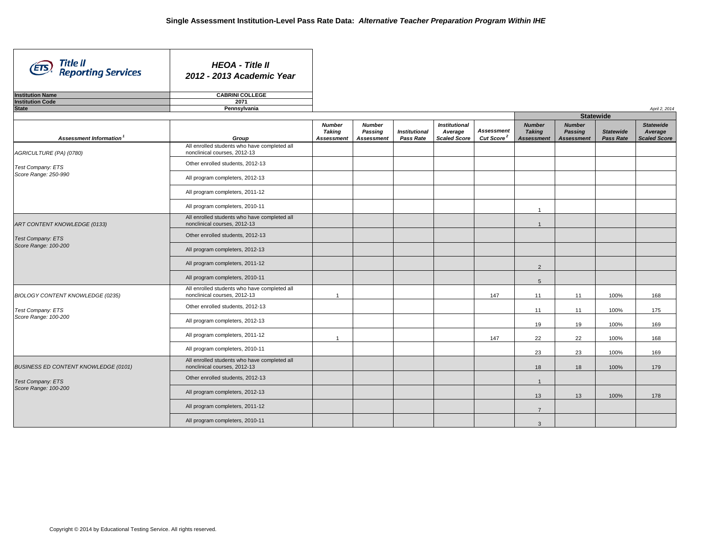| Title II<br>Reporting Services              | <b>HEOA - Title II</b><br>2012 - 2013 Academic Year                          |                                                     |                                               |                                   |                                                        |                                             |                                                     |                                                      |                               |                                                    |
|---------------------------------------------|------------------------------------------------------------------------------|-----------------------------------------------------|-----------------------------------------------|-----------------------------------|--------------------------------------------------------|---------------------------------------------|-----------------------------------------------------|------------------------------------------------------|-------------------------------|----------------------------------------------------|
| <b>Institution Name</b>                     | <b>CABRINI COLLEGE</b>                                                       |                                                     |                                               |                                   |                                                        |                                             |                                                     |                                                      |                               |                                                    |
| <b>Institution Code</b>                     | 2071                                                                         |                                                     |                                               |                                   |                                                        |                                             |                                                     |                                                      |                               |                                                    |
| <b>State</b>                                | Pennsylvania                                                                 |                                                     |                                               |                                   |                                                        |                                             |                                                     |                                                      |                               | April 2, 2014                                      |
|                                             |                                                                              |                                                     |                                               |                                   |                                                        |                                             |                                                     |                                                      | <b>Statewide</b>              |                                                    |
| Assessment Information <sup>1</sup>         | Group                                                                        | <b>Number</b><br><b>Taking</b><br><b>Assessment</b> | <b>Number</b><br>Passing<br><b>Assessment</b> | <b>Institutional</b><br>Pass Rate | <b>Institutional</b><br>Average<br><b>Scaled Score</b> | <b>Assessment</b><br>Cut Score <sup>2</sup> | <b>Number</b><br><b>Taking</b><br><b>Assessment</b> | <b>Number</b><br><b>Passing</b><br><b>Assessment</b> | <b>Statewide</b><br>Pass Rate | <b>Statewide</b><br>Average<br><b>Scaled Score</b> |
| AGRICULTURE (PA) (0780)                     | All enrolled students who have completed all<br>nonclinical courses, 2012-13 |                                                     |                                               |                                   |                                                        |                                             |                                                     |                                                      |                               |                                                    |
| Test Company: ETS                           | Other enrolled students, 2012-13                                             |                                                     |                                               |                                   |                                                        |                                             |                                                     |                                                      |                               |                                                    |
| Score Range: 250-990                        | All program completers, 2012-13                                              |                                                     |                                               |                                   |                                                        |                                             |                                                     |                                                      |                               |                                                    |
|                                             | All program completers, 2011-12                                              |                                                     |                                               |                                   |                                                        |                                             |                                                     |                                                      |                               |                                                    |
|                                             | All program completers, 2010-11                                              |                                                     |                                               |                                   |                                                        |                                             | $\overline{1}$                                      |                                                      |                               |                                                    |
| ART CONTENT KNOWLEDGE (0133)                | All enrolled students who have completed all<br>nonclinical courses, 2012-13 |                                                     |                                               |                                   |                                                        |                                             | $\overline{1}$                                      |                                                      |                               |                                                    |
| Test Company: ETS                           | Other enrolled students, 2012-13                                             |                                                     |                                               |                                   |                                                        |                                             |                                                     |                                                      |                               |                                                    |
| Score Range: 100-200                        | All program completers, 2012-13                                              |                                                     |                                               |                                   |                                                        |                                             |                                                     |                                                      |                               |                                                    |
|                                             | All program completers, 2011-12                                              |                                                     |                                               |                                   |                                                        |                                             | 2                                                   |                                                      |                               |                                                    |
|                                             | All program completers, 2010-11                                              |                                                     |                                               |                                   |                                                        |                                             | $5\overline{5}$                                     |                                                      |                               |                                                    |
| BIOLOGY CONTENT KNOWLEDGE (0235)            | All enrolled students who have completed all<br>nonclinical courses, 2012-13 | -1                                                  |                                               |                                   |                                                        | 147                                         | 11                                                  | 11                                                   | 100%                          | 168                                                |
| Test Company: ETS                           | Other enrolled students, 2012-13                                             |                                                     |                                               |                                   |                                                        |                                             | 11                                                  | 11                                                   | 100%                          | 175                                                |
| Score Range: 100-200                        | All program completers, 2012-13                                              |                                                     |                                               |                                   |                                                        |                                             | 19                                                  | 19                                                   | 100%                          | 169                                                |
|                                             | All program completers, 2011-12                                              | $\overline{1}$                                      |                                               |                                   |                                                        | 147                                         | 22                                                  | 22                                                   | 100%                          | 168                                                |
|                                             | All program completers, 2010-11                                              |                                                     |                                               |                                   |                                                        |                                             | 23                                                  | 23                                                   | 100%                          | 169                                                |
| <b>BUSINESS ED CONTENT KNOWLEDGE (0101)</b> | All enrolled students who have completed all<br>nonclinical courses, 2012-13 |                                                     |                                               |                                   |                                                        |                                             | 18                                                  | 18                                                   | 100%                          | 179                                                |
| <b>Test Company: ETS</b>                    | Other enrolled students, 2012-13                                             |                                                     |                                               |                                   |                                                        |                                             | $\mathbf{1}$                                        |                                                      |                               |                                                    |
| Score Range: 100-200                        | All program completers, 2012-13                                              |                                                     |                                               |                                   |                                                        |                                             | 13                                                  | 13                                                   | 100%                          | 178                                                |
|                                             | All program completers, 2011-12                                              |                                                     |                                               |                                   |                                                        |                                             | $\overline{7}$                                      |                                                      |                               |                                                    |
|                                             | All program completers, 2010-11                                              |                                                     |                                               |                                   |                                                        |                                             | $\mathbf{3}$                                        |                                                      |                               |                                                    |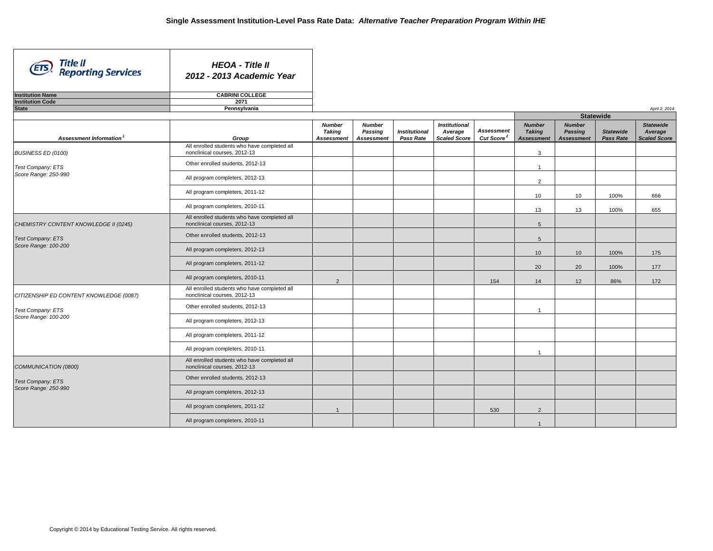| Title II<br>Reporting Services          | <b>HEOA - Title II</b><br>2012 - 2013 Academic Year                          |                                              |                                               |                                   |                                                        |                                             |                                                     |                                               |                                      |                                                    |
|-----------------------------------------|------------------------------------------------------------------------------|----------------------------------------------|-----------------------------------------------|-----------------------------------|--------------------------------------------------------|---------------------------------------------|-----------------------------------------------------|-----------------------------------------------|--------------------------------------|----------------------------------------------------|
| <b>Institution Name</b>                 | <b>CABRINI COLLEGE</b>                                                       |                                              |                                               |                                   |                                                        |                                             |                                                     |                                               |                                      |                                                    |
| <b>Institution Code</b>                 | 2071                                                                         |                                              |                                               |                                   |                                                        |                                             |                                                     |                                               |                                      |                                                    |
| <b>State</b>                            | Pennsylvania                                                                 |                                              |                                               |                                   |                                                        |                                             |                                                     |                                               |                                      | April 2, 2014                                      |
|                                         |                                                                              |                                              |                                               |                                   |                                                        |                                             |                                                     | <b>Statewide</b>                              |                                      |                                                    |
| Assessment Information <sup>1</sup>     | Group                                                                        | <b>Number</b><br><b>Taking</b><br>Assessment | <b>Number</b><br>Passing<br><b>Assessment</b> | <b>Institutional</b><br>Pass Rate | <b>Institutional</b><br>Average<br><b>Scaled Score</b> | <b>Assessment</b><br>Cut Score <sup>2</sup> | <b>Number</b><br><b>Taking</b><br><b>Assessment</b> | <b>Number</b><br>Passing<br><b>Assessment</b> | <b>Statewide</b><br><b>Pass Rate</b> | <b>Statewide</b><br>Average<br><b>Scaled Score</b> |
| <b>BUSINESS ED (0100)</b>               | All enrolled students who have completed all<br>nonclinical courses, 2012-13 |                                              |                                               |                                   |                                                        |                                             | 3                                                   |                                               |                                      |                                                    |
| Test Company: ETS                       | Other enrolled students, 2012-13                                             |                                              |                                               |                                   |                                                        |                                             | $\overline{1}$                                      |                                               |                                      |                                                    |
| Score Range: 250-990                    | All program completers, 2012-13                                              |                                              |                                               |                                   |                                                        |                                             | $\overline{2}$                                      |                                               |                                      |                                                    |
|                                         | All program completers, 2011-12                                              |                                              |                                               |                                   |                                                        |                                             | 10                                                  | 10                                            | 100%                                 | 666                                                |
|                                         | All program completers, 2010-11                                              |                                              |                                               |                                   |                                                        |                                             | 13                                                  | 13                                            | 100%                                 | 655                                                |
| CHEMISTRY CONTENT KNOWLEDGE II (0245)   | All enrolled students who have completed all<br>nonclinical courses, 2012-13 |                                              |                                               |                                   |                                                        |                                             | $5\overline{5}$                                     |                                               |                                      |                                                    |
| <b>Test Company: ETS</b>                | Other enrolled students, 2012-13                                             |                                              |                                               |                                   |                                                        |                                             | 5                                                   |                                               |                                      |                                                    |
| Score Range: 100-200                    | All program completers, 2012-13                                              |                                              |                                               |                                   |                                                        |                                             | 10                                                  | 10                                            | 100%                                 | 175                                                |
|                                         | All program completers, 2011-12                                              |                                              |                                               |                                   |                                                        |                                             | 20                                                  | 20                                            | 100%                                 | 177                                                |
|                                         | All program completers, 2010-11                                              | $\overline{2}$                               |                                               |                                   |                                                        | 154                                         | 14                                                  | 12                                            | 86%                                  | 172                                                |
| CITIZENSHIP ED CONTENT KNOWLEDGE (0087) | All enrolled students who have completed all<br>nonclinical courses, 2012-13 |                                              |                                               |                                   |                                                        |                                             |                                                     |                                               |                                      |                                                    |
| Test Company: ETS                       | Other enrolled students, 2012-13                                             |                                              |                                               |                                   |                                                        |                                             | $\overline{1}$                                      |                                               |                                      |                                                    |
| Score Range: 100-200                    | All program completers, 2012-13                                              |                                              |                                               |                                   |                                                        |                                             |                                                     |                                               |                                      |                                                    |
|                                         | All program completers, 2011-12                                              |                                              |                                               |                                   |                                                        |                                             |                                                     |                                               |                                      |                                                    |
|                                         | All program completers, 2010-11                                              |                                              |                                               |                                   |                                                        |                                             | $\overline{1}$                                      |                                               |                                      |                                                    |
| COMMUNICATION (0800)                    | All enrolled students who have completed all<br>nonclinical courses, 2012-13 |                                              |                                               |                                   |                                                        |                                             |                                                     |                                               |                                      |                                                    |
| <b>Test Company: ETS</b>                | Other enrolled students, 2012-13                                             |                                              |                                               |                                   |                                                        |                                             |                                                     |                                               |                                      |                                                    |
| Score Range: 250-990                    | All program completers, 2012-13                                              |                                              |                                               |                                   |                                                        |                                             |                                                     |                                               |                                      |                                                    |
|                                         | All program completers, 2011-12                                              | $\overline{1}$                               |                                               |                                   |                                                        | 530                                         | $\overline{2}$                                      |                                               |                                      |                                                    |
|                                         | All program completers, 2010-11                                              |                                              |                                               |                                   |                                                        |                                             | $\overline{1}$                                      |                                               |                                      |                                                    |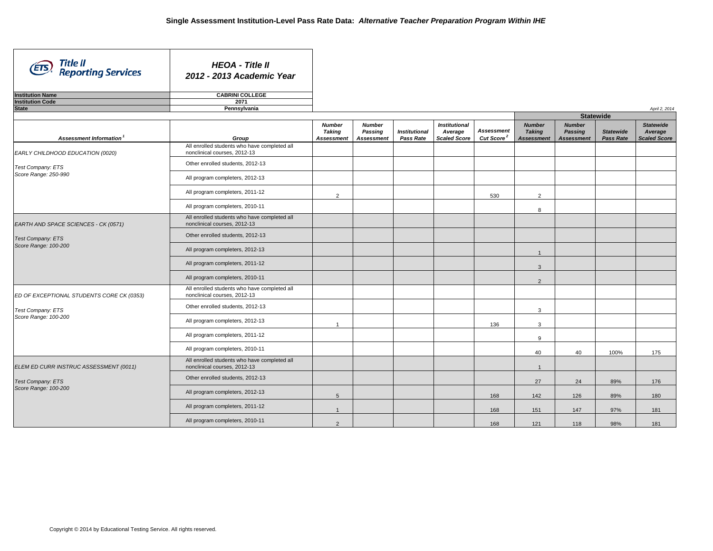| Title II<br>Reporting Services            | <b>HEOA - Title II</b><br>2012 - 2013 Academic Year                          |                                                     |                                               |                                   |                                                        |                                             |                                                     |                                                      |                               |                                                    |
|-------------------------------------------|------------------------------------------------------------------------------|-----------------------------------------------------|-----------------------------------------------|-----------------------------------|--------------------------------------------------------|---------------------------------------------|-----------------------------------------------------|------------------------------------------------------|-------------------------------|----------------------------------------------------|
| <b>Institution Name</b>                   | <b>CABRINI COLLEGE</b>                                                       |                                                     |                                               |                                   |                                                        |                                             |                                                     |                                                      |                               |                                                    |
| <b>Institution Code</b>                   | 2071                                                                         |                                                     |                                               |                                   |                                                        |                                             |                                                     |                                                      |                               |                                                    |
| <b>State</b>                              | Pennsylvania                                                                 |                                                     |                                               |                                   |                                                        |                                             |                                                     |                                                      |                               | April 2, 2014                                      |
|                                           |                                                                              |                                                     |                                               |                                   |                                                        |                                             |                                                     |                                                      | <b>Statewide</b>              |                                                    |
| Assessment Information <sup>1</sup>       | Group                                                                        | <b>Number</b><br><b>Taking</b><br><b>Assessment</b> | <b>Number</b><br>Passing<br><b>Assessment</b> | <b>Institutional</b><br>Pass Rate | <b>Institutional</b><br>Average<br><b>Scaled Score</b> | <b>Assessment</b><br>Cut Score <sup>2</sup> | <b>Number</b><br><b>Taking</b><br><b>Assessment</b> | <b>Number</b><br><b>Passing</b><br><b>Assessment</b> | <b>Statewide</b><br>Pass Rate | <b>Statewide</b><br>Average<br><b>Scaled Score</b> |
| EARLY CHILDHOOD EDUCATION (0020)          | All enrolled students who have completed all<br>nonclinical courses, 2012-13 |                                                     |                                               |                                   |                                                        |                                             |                                                     |                                                      |                               |                                                    |
| Test Company: ETS                         | Other enrolled students, 2012-13                                             |                                                     |                                               |                                   |                                                        |                                             |                                                     |                                                      |                               |                                                    |
| Score Range: 250-990                      | All program completers, 2012-13                                              |                                                     |                                               |                                   |                                                        |                                             |                                                     |                                                      |                               |                                                    |
|                                           | All program completers, 2011-12                                              | 2                                                   |                                               |                                   |                                                        | 530                                         | $\overline{2}$                                      |                                                      |                               |                                                    |
|                                           | All program completers, 2010-11                                              |                                                     |                                               |                                   |                                                        |                                             | 8                                                   |                                                      |                               |                                                    |
| EARTH AND SPACE SCIENCES - CK (0571)      | All enrolled students who have completed all<br>nonclinical courses, 2012-13 |                                                     |                                               |                                   |                                                        |                                             |                                                     |                                                      |                               |                                                    |
| Test Company: ETS                         | Other enrolled students, 2012-13                                             |                                                     |                                               |                                   |                                                        |                                             |                                                     |                                                      |                               |                                                    |
| Score Range: 100-200                      | All program completers, 2012-13                                              |                                                     |                                               |                                   |                                                        |                                             | $\overline{1}$                                      |                                                      |                               |                                                    |
|                                           | All program completers, 2011-12                                              |                                                     |                                               |                                   |                                                        |                                             | $\overline{3}$                                      |                                                      |                               |                                                    |
|                                           | All program completers, 2010-11                                              |                                                     |                                               |                                   |                                                        |                                             | $\overline{2}$                                      |                                                      |                               |                                                    |
| ED OF EXCEPTIONAL STUDENTS CORE CK (0353) | All enrolled students who have completed all<br>nonclinical courses, 2012-13 |                                                     |                                               |                                   |                                                        |                                             |                                                     |                                                      |                               |                                                    |
| Test Company: ETS                         | Other enrolled students, 2012-13                                             |                                                     |                                               |                                   |                                                        |                                             | $\mathbf{3}$                                        |                                                      |                               |                                                    |
| Score Range: 100-200                      | All program completers, 2012-13                                              | $\overline{1}$                                      |                                               |                                   |                                                        | 136                                         | $\mathbf{3}$                                        |                                                      |                               |                                                    |
|                                           | All program completers, 2011-12                                              |                                                     |                                               |                                   |                                                        |                                             | 9                                                   |                                                      |                               |                                                    |
|                                           | All program completers, 2010-11                                              |                                                     |                                               |                                   |                                                        |                                             | 40                                                  | 40                                                   | 100%                          | 175                                                |
| ELEM ED CURR INSTRUC ASSESSMENT (0011)    | All enrolled students who have completed all<br>nonclinical courses, 2012-13 |                                                     |                                               |                                   |                                                        |                                             | $\overline{1}$                                      |                                                      |                               |                                                    |
| <b>Test Company: ETS</b>                  | Other enrolled students, 2012-13                                             |                                                     |                                               |                                   |                                                        |                                             | 27                                                  | 24                                                   | 89%                           | 176                                                |
| Score Range: 100-200                      | All program completers, 2012-13                                              | 5                                                   |                                               |                                   |                                                        | 168                                         | 142                                                 | 126                                                  | 89%                           | 180                                                |
|                                           | All program completers, 2011-12                                              | $\overline{1}$                                      |                                               |                                   |                                                        | 168                                         | 151                                                 | 147                                                  | 97%                           | 181                                                |
|                                           | All program completers, 2010-11                                              | 2                                                   |                                               |                                   |                                                        | 168                                         | 121                                                 | 118                                                  | 98%                           | 181                                                |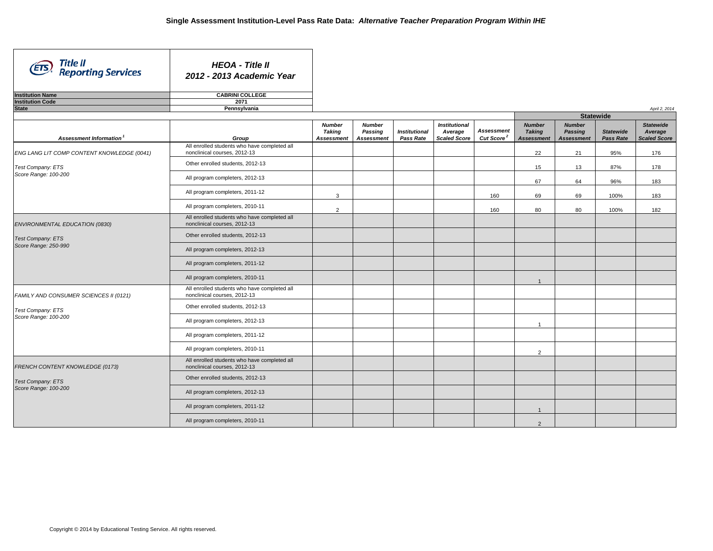| Title II<br>Reporting Services             | <b>HEOA - Title II</b><br>2012 - 2013 Academic Year                          |                                              |                                               |                                          |                                                        |                                             |                                                     |                                               |                               |                                                    |
|--------------------------------------------|------------------------------------------------------------------------------|----------------------------------------------|-----------------------------------------------|------------------------------------------|--------------------------------------------------------|---------------------------------------------|-----------------------------------------------------|-----------------------------------------------|-------------------------------|----------------------------------------------------|
| <b>Institution Name</b>                    | <b>CABRINI COLLEGE</b>                                                       |                                              |                                               |                                          |                                                        |                                             |                                                     |                                               |                               |                                                    |
| <b>Institution Code</b>                    | 2071                                                                         |                                              |                                               |                                          |                                                        |                                             |                                                     |                                               |                               |                                                    |
| <b>State</b>                               | Pennsylvania                                                                 |                                              |                                               |                                          |                                                        |                                             |                                                     |                                               |                               | April 2, 2014                                      |
|                                            |                                                                              |                                              |                                               |                                          |                                                        |                                             |                                                     | <b>Statewide</b>                              |                               |                                                    |
| Assessment Information <sup>1</sup>        | Group                                                                        | <b>Number</b><br><b>Taking</b><br>Assessment | <b>Number</b><br>Passing<br><b>Assessment</b> | <b>Institutional</b><br><b>Pass Rate</b> | <b>Institutional</b><br>Average<br><b>Scaled Score</b> | <b>Assessment</b><br>Cut Score <sup>2</sup> | <b>Number</b><br><b>Taking</b><br><b>Assessment</b> | <b>Number</b><br>Passing<br><b>Assessment</b> | <b>Statewide</b><br>Pass Rate | <b>Statewide</b><br>Average<br><b>Scaled Score</b> |
| ENG LANG LIT COMP CONTENT KNOWLEDGE (0041) | All enrolled students who have completed all<br>nonclinical courses, 2012-13 |                                              |                                               |                                          |                                                        |                                             | 22                                                  | 21                                            | 95%                           | 176                                                |
| Test Company: ETS                          | Other enrolled students, 2012-13                                             |                                              |                                               |                                          |                                                        |                                             | 15                                                  | 13                                            | 87%                           | 178                                                |
| Score Range: 100-200                       | All program completers, 2012-13                                              |                                              |                                               |                                          |                                                        |                                             | 67                                                  | 64                                            | 96%                           | 183                                                |
|                                            | All program completers, 2011-12                                              | 3                                            |                                               |                                          |                                                        | 160                                         | 69                                                  | 69                                            | 100%                          | 183                                                |
|                                            | All program completers, 2010-11                                              | 2                                            |                                               |                                          |                                                        | 160                                         | 80                                                  | 80                                            | 100%                          | 182                                                |
| ENVIRONMENTAL EDUCATION (0830)             | All enrolled students who have completed all<br>nonclinical courses, 2012-13 |                                              |                                               |                                          |                                                        |                                             |                                                     |                                               |                               |                                                    |
| <b>Test Company: ETS</b>                   | Other enrolled students, 2012-13                                             |                                              |                                               |                                          |                                                        |                                             |                                                     |                                               |                               |                                                    |
| Score Range: 250-990                       | All program completers, 2012-13                                              |                                              |                                               |                                          |                                                        |                                             |                                                     |                                               |                               |                                                    |
|                                            | All program completers, 2011-12                                              |                                              |                                               |                                          |                                                        |                                             |                                                     |                                               |                               |                                                    |
|                                            | All program completers, 2010-11                                              |                                              |                                               |                                          |                                                        |                                             | $\overline{1}$                                      |                                               |                               |                                                    |
| FAMILY AND CONSUMER SCIENCES II (0121)     | All enrolled students who have completed all<br>nonclinical courses, 2012-13 |                                              |                                               |                                          |                                                        |                                             |                                                     |                                               |                               |                                                    |
| Test Company: ETS                          | Other enrolled students, 2012-13                                             |                                              |                                               |                                          |                                                        |                                             |                                                     |                                               |                               |                                                    |
| Score Range: 100-200                       | All program completers, 2012-13                                              |                                              |                                               |                                          |                                                        |                                             | $\overline{1}$                                      |                                               |                               |                                                    |
|                                            | All program completers, 2011-12                                              |                                              |                                               |                                          |                                                        |                                             |                                                     |                                               |                               |                                                    |
|                                            | All program completers, 2010-11                                              |                                              |                                               |                                          |                                                        |                                             | $\overline{2}$                                      |                                               |                               |                                                    |
| FRENCH CONTENT KNOWLEDGE (0173)            | All enrolled students who have completed all<br>nonclinical courses, 2012-13 |                                              |                                               |                                          |                                                        |                                             |                                                     |                                               |                               |                                                    |
| <b>Test Company: ETS</b>                   | Other enrolled students, 2012-13                                             |                                              |                                               |                                          |                                                        |                                             |                                                     |                                               |                               |                                                    |
| Score Range: 100-200                       | All program completers, 2012-13                                              |                                              |                                               |                                          |                                                        |                                             |                                                     |                                               |                               |                                                    |
|                                            | All program completers, 2011-12                                              |                                              |                                               |                                          |                                                        |                                             | $\mathbf{1}$                                        |                                               |                               |                                                    |
|                                            | All program completers, 2010-11                                              |                                              |                                               |                                          |                                                        |                                             | $\overline{2}$                                      |                                               |                               |                                                    |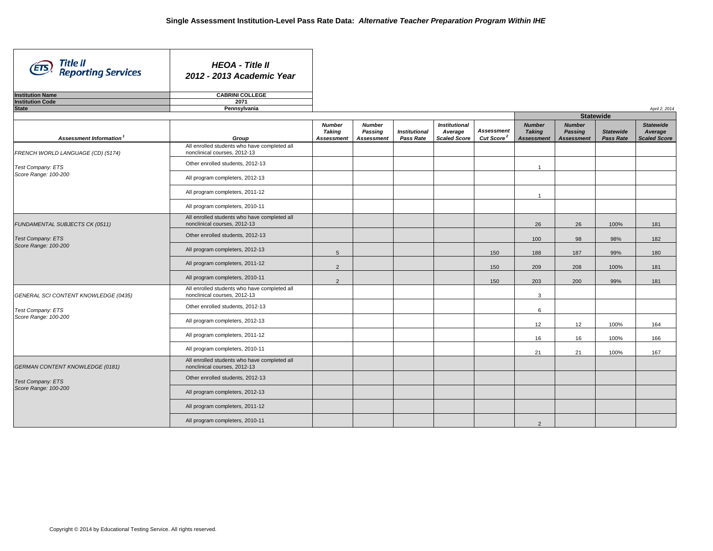| Title II<br>Reporting Services                   | <b>HEOA - Title II</b><br>2012 - 2013 Academic Year                             |                                       |                                               |                                   |                                                        |                                             |                                                     |                                               |                               |                                                    |
|--------------------------------------------------|---------------------------------------------------------------------------------|---------------------------------------|-----------------------------------------------|-----------------------------------|--------------------------------------------------------|---------------------------------------------|-----------------------------------------------------|-----------------------------------------------|-------------------------------|----------------------------------------------------|
| <b>Institution Name</b>                          | <b>CABRINI COLLEGE</b>                                                          |                                       |                                               |                                   |                                                        |                                             |                                                     |                                               |                               |                                                    |
| <b>Institution Code</b>                          | 2071                                                                            |                                       |                                               |                                   |                                                        |                                             |                                                     |                                               |                               |                                                    |
| <b>State</b>                                     | Pennsylvania                                                                    |                                       |                                               |                                   |                                                        |                                             |                                                     |                                               |                               | April 2, 2014                                      |
|                                                  |                                                                                 |                                       |                                               |                                   |                                                        |                                             |                                                     | <b>Statewide</b>                              |                               |                                                    |
| Assessment Information <sup>1</sup>              | Group                                                                           | <b>Number</b><br>Taking<br>Assessment | <b>Number</b><br>Passing<br><b>Assessment</b> | <b>Institutional</b><br>Pass Rate | <b>Institutional</b><br>Average<br><b>Scaled Score</b> | <b>Assessment</b><br>Cut Score <sup>2</sup> | <b>Number</b><br><b>Taking</b><br><b>Assessment</b> | <b>Number</b><br>Passing<br><b>Assessment</b> | <b>Statewide</b><br>Pass Rate | <b>Statewide</b><br>Average<br><b>Scaled Score</b> |
| FRENCH WORLD LANGUAGE (CD) (5174)                | All enrolled students who have completed all<br>nonclinical courses, 2012-13    |                                       |                                               |                                   |                                                        |                                             |                                                     |                                               |                               |                                                    |
| Test Company: ETS                                | Other enrolled students, 2012-13                                                |                                       |                                               |                                   |                                                        |                                             | $\overline{1}$                                      |                                               |                               |                                                    |
| Score Range: 100-200                             | All program completers, 2012-13                                                 |                                       |                                               |                                   |                                                        |                                             |                                                     |                                               |                               |                                                    |
|                                                  | All program completers, 2011-12                                                 |                                       |                                               |                                   |                                                        |                                             | $\overline{1}$                                      |                                               |                               |                                                    |
|                                                  | All program completers, 2010-11<br>All enrolled students who have completed all |                                       |                                               |                                   |                                                        |                                             |                                                     |                                               |                               |                                                    |
| FUNDAMENTAL SUBJECTS CK (0511)                   | nonclinical courses, 2012-13                                                    |                                       |                                               |                                   |                                                        |                                             | 26                                                  | 26                                            | 100%                          | 181                                                |
| <b>Test Company: ETS</b><br>Score Range: 100-200 | Other enrolled students, 2012-13                                                |                                       |                                               |                                   |                                                        |                                             | 100                                                 | 98                                            | 98%                           | 182                                                |
|                                                  | All program completers, 2012-13                                                 | $\overline{5}$                        |                                               |                                   |                                                        | 150                                         | 188                                                 | 187                                           | 99%                           | 180                                                |
|                                                  | All program completers, 2011-12                                                 | 2                                     |                                               |                                   |                                                        | 150                                         | 209                                                 | 208                                           | 100%                          | 181                                                |
|                                                  | All program completers, 2010-11                                                 | $\overline{2}$                        |                                               |                                   |                                                        | 150                                         | 203                                                 | 200                                           | 99%                           | 181                                                |
| GENERAL SCI CONTENT KNOWLEDGE (0435)             | All enrolled students who have completed all<br>nonclinical courses, 2012-13    |                                       |                                               |                                   |                                                        |                                             | 3                                                   |                                               |                               |                                                    |
| Test Company: ETS                                | Other enrolled students, 2012-13                                                |                                       |                                               |                                   |                                                        |                                             | 6                                                   |                                               |                               |                                                    |
| Score Range: 100-200                             | All program completers, 2012-13                                                 |                                       |                                               |                                   |                                                        |                                             | 12                                                  | 12                                            | 100%                          | 164                                                |
|                                                  | All program completers, 2011-12                                                 |                                       |                                               |                                   |                                                        |                                             | 16                                                  | 16                                            | 100%                          | 166                                                |
|                                                  | All program completers, 2010-11                                                 |                                       |                                               |                                   |                                                        |                                             | 21                                                  | 21                                            | 100%                          | 167                                                |
| GERMAN CONTENT KNOWLEDGE (0181)                  | All enrolled students who have completed all<br>nonclinical courses, 2012-13    |                                       |                                               |                                   |                                                        |                                             |                                                     |                                               |                               |                                                    |
| <b>Test Company: ETS</b>                         | Other enrolled students, 2012-13                                                |                                       |                                               |                                   |                                                        |                                             |                                                     |                                               |                               |                                                    |
| Score Range: 100-200                             | All program completers, 2012-13                                                 |                                       |                                               |                                   |                                                        |                                             |                                                     |                                               |                               |                                                    |
|                                                  | All program completers, 2011-12                                                 |                                       |                                               |                                   |                                                        |                                             |                                                     |                                               |                               |                                                    |
|                                                  | All program completers, 2010-11                                                 |                                       |                                               |                                   |                                                        |                                             | $\overline{2}$                                      |                                               |                               |                                                    |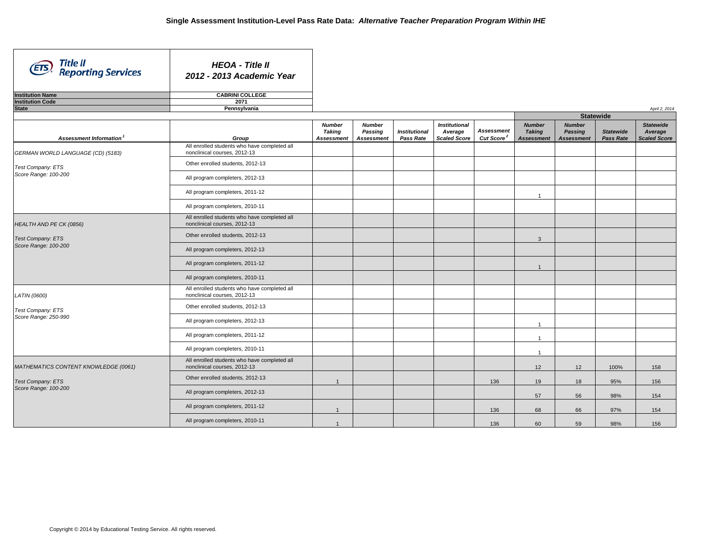| Title II<br>Reporting Services       | <b>HEOA - Title II</b><br>2012 - 2013 Academic Year                          |                                              |                                               |                                   |                                                        |                                             |                                                     |                                               |                               |                                                    |
|--------------------------------------|------------------------------------------------------------------------------|----------------------------------------------|-----------------------------------------------|-----------------------------------|--------------------------------------------------------|---------------------------------------------|-----------------------------------------------------|-----------------------------------------------|-------------------------------|----------------------------------------------------|
| <b>Institution Name</b>              | <b>CABRINI COLLEGE</b>                                                       |                                              |                                               |                                   |                                                        |                                             |                                                     |                                               |                               |                                                    |
| <b>Institution Code</b>              | 2071                                                                         |                                              |                                               |                                   |                                                        |                                             |                                                     |                                               |                               |                                                    |
| <b>State</b>                         | Pennsylvania                                                                 |                                              |                                               |                                   |                                                        |                                             |                                                     |                                               |                               | April 2, 2014                                      |
|                                      |                                                                              |                                              |                                               |                                   |                                                        |                                             |                                                     |                                               | <b>Statewide</b>              |                                                    |
| Assessment Information <sup>1</sup>  | Group                                                                        | <b>Number</b><br><b>Taking</b><br>Assessment | <b>Number</b><br>Passing<br><b>Assessment</b> | <b>Institutional</b><br>Pass Rate | <b>Institutional</b><br>Average<br><b>Scaled Score</b> | <b>Assessment</b><br>Cut Score <sup>2</sup> | <b>Number</b><br><b>Taking</b><br><b>Assessment</b> | <b>Number</b><br>Passing<br><b>Assessment</b> | <b>Statewide</b><br>Pass Rate | <b>Statewide</b><br>Average<br><b>Scaled Score</b> |
| GERMAN WORLD LANGUAGE (CD) (5183)    | All enrolled students who have completed all<br>nonclinical courses, 2012-13 |                                              |                                               |                                   |                                                        |                                             |                                                     |                                               |                               |                                                    |
| Test Company: ETS                    | Other enrolled students, 2012-13                                             |                                              |                                               |                                   |                                                        |                                             |                                                     |                                               |                               |                                                    |
| Score Range: 100-200                 | All program completers, 2012-13                                              |                                              |                                               |                                   |                                                        |                                             |                                                     |                                               |                               |                                                    |
|                                      | All program completers, 2011-12                                              |                                              |                                               |                                   |                                                        |                                             | $\overline{1}$                                      |                                               |                               |                                                    |
|                                      | All program completers, 2010-11                                              |                                              |                                               |                                   |                                                        |                                             |                                                     |                                               |                               |                                                    |
| HEALTH AND PE CK (0856)              | All enrolled students who have completed all<br>nonclinical courses, 2012-13 |                                              |                                               |                                   |                                                        |                                             |                                                     |                                               |                               |                                                    |
| <b>Test Company: ETS</b>             | Other enrolled students, 2012-13                                             |                                              |                                               |                                   |                                                        |                                             | $\mathbf{3}$                                        |                                               |                               |                                                    |
| Score Range: 100-200                 | All program completers, 2012-13                                              |                                              |                                               |                                   |                                                        |                                             |                                                     |                                               |                               |                                                    |
|                                      | All program completers, 2011-12                                              |                                              |                                               |                                   |                                                        |                                             | $\mathbf{1}$                                        |                                               |                               |                                                    |
|                                      | All program completers, 2010-11                                              |                                              |                                               |                                   |                                                        |                                             |                                                     |                                               |                               |                                                    |
| LATIN (0600)                         | All enrolled students who have completed all<br>nonclinical courses, 2012-13 |                                              |                                               |                                   |                                                        |                                             |                                                     |                                               |                               |                                                    |
| Test Company: ETS                    | Other enrolled students, 2012-13                                             |                                              |                                               |                                   |                                                        |                                             |                                                     |                                               |                               |                                                    |
| Score Range: 250-990                 | All program completers, 2012-13                                              |                                              |                                               |                                   |                                                        |                                             | $\overline{1}$                                      |                                               |                               |                                                    |
|                                      | All program completers, 2011-12                                              |                                              |                                               |                                   |                                                        |                                             | $\overline{1}$                                      |                                               |                               |                                                    |
|                                      | All program completers, 2010-11                                              |                                              |                                               |                                   |                                                        |                                             | $\overline{1}$                                      |                                               |                               |                                                    |
| MATHEMATICS CONTENT KNOWLEDGE (0061) | All enrolled students who have completed all<br>nonclinical courses, 2012-13 |                                              |                                               |                                   |                                                        |                                             | 12                                                  | 12                                            | 100%                          | 158                                                |
| <b>Test Company: ETS</b>             | Other enrolled students, 2012-13                                             | $\overline{1}$                               |                                               |                                   |                                                        | 136                                         | 19                                                  | 18                                            | 95%                           | 156                                                |
| Score Range: 100-200                 | All program completers, 2012-13                                              |                                              |                                               |                                   |                                                        |                                             | 57                                                  | 56                                            | 98%                           | 154                                                |
|                                      | All program completers, 2011-12                                              | $\overline{1}$                               |                                               |                                   |                                                        | 136                                         | 68                                                  | 66                                            | 97%                           | 154                                                |
|                                      | All program completers, 2010-11                                              | $\overline{1}$                               |                                               |                                   |                                                        | 136                                         | 60                                                  | 59                                            | 98%                           | 156                                                |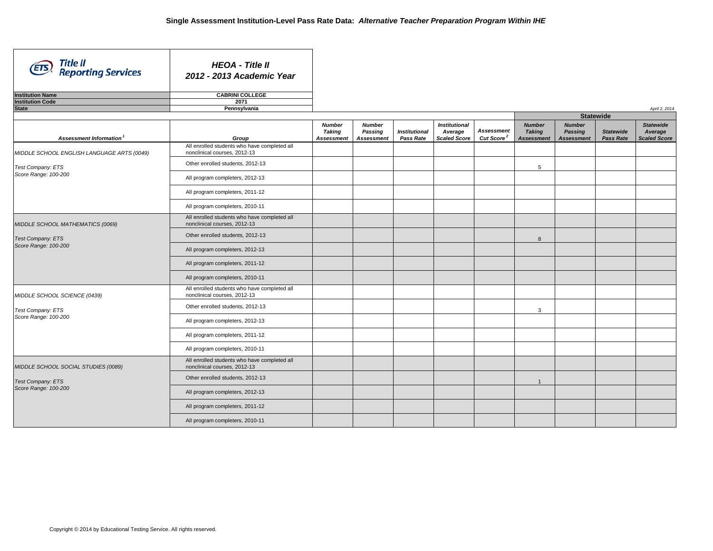| Title II<br>Reporting Services             | <b>HEOA - Title II</b><br>2012 - 2013 Academic Year                          |                                       |                                               |                                          |                                                        |                                             |                                                     |                                                      |                                      |                                                    |
|--------------------------------------------|------------------------------------------------------------------------------|---------------------------------------|-----------------------------------------------|------------------------------------------|--------------------------------------------------------|---------------------------------------------|-----------------------------------------------------|------------------------------------------------------|--------------------------------------|----------------------------------------------------|
| <b>Institution Name</b>                    | <b>CABRINI COLLEGE</b>                                                       |                                       |                                               |                                          |                                                        |                                             |                                                     |                                                      |                                      |                                                    |
| <b>Institution Code</b>                    | 2071                                                                         |                                       |                                               |                                          |                                                        |                                             |                                                     |                                                      |                                      |                                                    |
| <b>State</b>                               | Pennsylvania                                                                 |                                       |                                               |                                          |                                                        |                                             |                                                     |                                                      |                                      | April 2, 2014                                      |
|                                            |                                                                              |                                       |                                               |                                          |                                                        |                                             |                                                     | <b>Statewide</b>                                     |                                      |                                                    |
| Assessment Information <sup>1</sup>        | Group                                                                        | <b>Number</b><br>Taking<br>Assessment | <b>Number</b><br>Passing<br><b>Assessment</b> | <b>Institutional</b><br><b>Pass Rate</b> | <b>Institutional</b><br>Average<br><b>Scaled Score</b> | <b>Assessment</b><br>Cut Score <sup>2</sup> | <b>Number</b><br><b>Taking</b><br><b>Assessment</b> | <b>Number</b><br><b>Passing</b><br><b>Assessment</b> | <b>Statewide</b><br><b>Pass Rate</b> | <b>Statewide</b><br>Average<br><b>Scaled Score</b> |
| MIDDLE SCHOOL ENGLISH LANGUAGE ARTS (0049) | All enrolled students who have completed all<br>nonclinical courses, 2012-13 |                                       |                                               |                                          |                                                        |                                             |                                                     |                                                      |                                      |                                                    |
| Test Company: ETS                          | Other enrolled students, 2012-13                                             |                                       |                                               |                                          |                                                        |                                             | $5\phantom{.0}$                                     |                                                      |                                      |                                                    |
| Score Range: 100-200                       | All program completers, 2012-13                                              |                                       |                                               |                                          |                                                        |                                             |                                                     |                                                      |                                      |                                                    |
|                                            | All program completers, 2011-12                                              |                                       |                                               |                                          |                                                        |                                             |                                                     |                                                      |                                      |                                                    |
|                                            | All program completers, 2010-11                                              |                                       |                                               |                                          |                                                        |                                             |                                                     |                                                      |                                      |                                                    |
| MIDDLE SCHOOL MATHEMATICS (0069)           | All enrolled students who have completed all<br>nonclinical courses, 2012-13 |                                       |                                               |                                          |                                                        |                                             |                                                     |                                                      |                                      |                                                    |
| Test Company: ETS                          | Other enrolled students, 2012-13                                             |                                       |                                               |                                          |                                                        |                                             | 8                                                   |                                                      |                                      |                                                    |
| Score Range: 100-200                       | All program completers, 2012-13                                              |                                       |                                               |                                          |                                                        |                                             |                                                     |                                                      |                                      |                                                    |
|                                            | All program completers, 2011-12                                              |                                       |                                               |                                          |                                                        |                                             |                                                     |                                                      |                                      |                                                    |
|                                            | All program completers, 2010-11                                              |                                       |                                               |                                          |                                                        |                                             |                                                     |                                                      |                                      |                                                    |
| MIDDLE SCHOOL SCIENCE (0439)               | All enrolled students who have completed all<br>nonclinical courses, 2012-13 |                                       |                                               |                                          |                                                        |                                             |                                                     |                                                      |                                      |                                                    |
| Test Company: ETS                          | Other enrolled students, 2012-13                                             |                                       |                                               |                                          |                                                        |                                             | $\mathbf{3}$                                        |                                                      |                                      |                                                    |
| Score Range: 100-200                       | All program completers, 2012-13                                              |                                       |                                               |                                          |                                                        |                                             |                                                     |                                                      |                                      |                                                    |
|                                            | All program completers, 2011-12                                              |                                       |                                               |                                          |                                                        |                                             |                                                     |                                                      |                                      |                                                    |
|                                            | All program completers, 2010-11                                              |                                       |                                               |                                          |                                                        |                                             |                                                     |                                                      |                                      |                                                    |
| MIDDLE SCHOOL SOCIAL STUDIES (0089)        | All enrolled students who have completed all<br>nonclinical courses, 2012-13 |                                       |                                               |                                          |                                                        |                                             |                                                     |                                                      |                                      |                                                    |
| Test Company: ETS                          | Other enrolled students, 2012-13                                             |                                       |                                               |                                          |                                                        |                                             | $\overline{1}$                                      |                                                      |                                      |                                                    |
| Score Range: 100-200                       | All program completers, 2012-13                                              |                                       |                                               |                                          |                                                        |                                             |                                                     |                                                      |                                      |                                                    |
|                                            | All program completers, 2011-12                                              |                                       |                                               |                                          |                                                        |                                             |                                                     |                                                      |                                      |                                                    |
|                                            | All program completers, 2010-11                                              |                                       |                                               |                                          |                                                        |                                             |                                                     |                                                      |                                      |                                                    |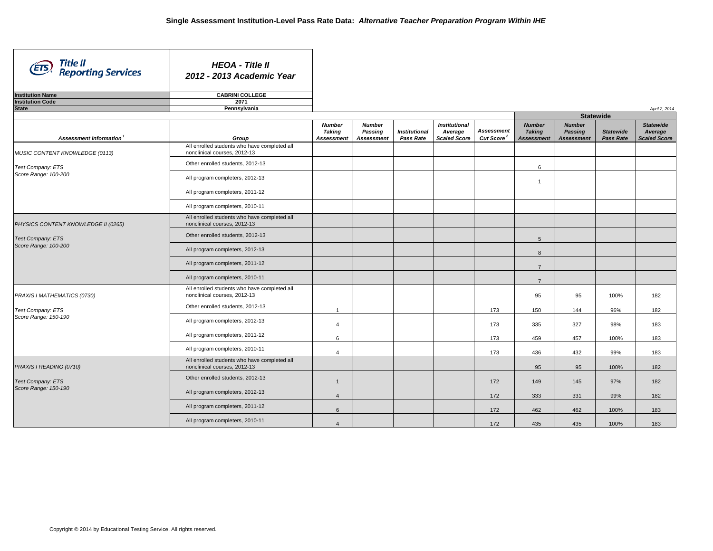| Title II<br>Reporting Services      | <b>HEOA - Title II</b><br>2012 - 2013 Academic Year                          |                                       |                                               |                                          |                                                        |                                      |                                              |                                                      |                                      |                                                    |
|-------------------------------------|------------------------------------------------------------------------------|---------------------------------------|-----------------------------------------------|------------------------------------------|--------------------------------------------------------|--------------------------------------|----------------------------------------------|------------------------------------------------------|--------------------------------------|----------------------------------------------------|
| <b>Institution Name</b>             | <b>CABRINI COLLEGE</b>                                                       |                                       |                                               |                                          |                                                        |                                      |                                              |                                                      |                                      |                                                    |
| <b>Institution Code</b>             | 2071                                                                         |                                       |                                               |                                          |                                                        |                                      |                                              |                                                      |                                      |                                                    |
| <b>State</b>                        | Pennsylvania                                                                 |                                       |                                               |                                          |                                                        |                                      |                                              |                                                      |                                      | April 2, 2014                                      |
|                                     |                                                                              |                                       |                                               |                                          |                                                        |                                      |                                              | <b>Statewide</b>                                     |                                      |                                                    |
| Assessment Information <sup>1</sup> | Group                                                                        | <b>Number</b><br>Taking<br>Assessment | <b>Number</b><br>Passing<br><b>Assessment</b> | <b>Institutional</b><br><b>Pass Rate</b> | <b>Institutional</b><br>Average<br><b>Scaled Score</b> | Assessment<br>Cut Score <sup>2</sup> | <b>Number</b><br><b>Taking</b><br>Assessment | <b>Number</b><br><b>Passing</b><br><b>Assessment</b> | <b>Statewide</b><br><b>Pass Rate</b> | <b>Statewide</b><br>Average<br><b>Scaled Score</b> |
| MUSIC CONTENT KNOWLEDGE (0113)      | All enrolled students who have completed all<br>nonclinical courses, 2012-13 |                                       |                                               |                                          |                                                        |                                      |                                              |                                                      |                                      |                                                    |
| Test Company: ETS                   | Other enrolled students, 2012-13                                             |                                       |                                               |                                          |                                                        |                                      | 6                                            |                                                      |                                      |                                                    |
| Score Range: 100-200                | All program completers, 2012-13                                              |                                       |                                               |                                          |                                                        |                                      | $\overline{1}$                               |                                                      |                                      |                                                    |
|                                     | All program completers, 2011-12                                              |                                       |                                               |                                          |                                                        |                                      |                                              |                                                      |                                      |                                                    |
|                                     | All program completers, 2010-11                                              |                                       |                                               |                                          |                                                        |                                      |                                              |                                                      |                                      |                                                    |
| PHYSICS CONTENT KNOWLEDGE II (0265) | All enrolled students who have completed all<br>nonclinical courses, 2012-13 |                                       |                                               |                                          |                                                        |                                      |                                              |                                                      |                                      |                                                    |
| Test Company: ETS                   | Other enrolled students, 2012-13                                             |                                       |                                               |                                          |                                                        |                                      | $5\phantom{.0}$                              |                                                      |                                      |                                                    |
| Score Range: 100-200                | All program completers, 2012-13                                              |                                       |                                               |                                          |                                                        |                                      | 8                                            |                                                      |                                      |                                                    |
|                                     | All program completers, 2011-12                                              |                                       |                                               |                                          |                                                        |                                      | $\overline{7}$                               |                                                      |                                      |                                                    |
|                                     | All program completers, 2010-11                                              |                                       |                                               |                                          |                                                        |                                      | $\overline{7}$                               |                                                      |                                      |                                                    |
| PRAXIS I MATHEMATICS (0730)         | All enrolled students who have completed all<br>nonclinical courses, 2012-13 |                                       |                                               |                                          |                                                        |                                      | 95                                           | 95                                                   | 100%                                 | 182                                                |
| Test Company: ETS                   | Other enrolled students, 2012-13                                             | $\mathbf{1}$                          |                                               |                                          |                                                        | 173                                  | 150                                          | 144                                                  | 96%                                  | 182                                                |
| Score Range: 150-190                | All program completers, 2012-13                                              | $\overline{4}$                        |                                               |                                          |                                                        | 173                                  | 335                                          | 327                                                  | 98%                                  | 183                                                |
|                                     | All program completers, 2011-12                                              | 6                                     |                                               |                                          |                                                        | 173                                  | 459                                          | 457                                                  | 100%                                 | 183                                                |
|                                     | All program completers, 2010-11                                              | $\overline{4}$                        |                                               |                                          |                                                        | 173                                  | 436                                          | 432                                                  | 99%                                  | 183                                                |
| PRAXIS I READING (0710)             | All enrolled students who have completed all<br>nonclinical courses, 2012-13 |                                       |                                               |                                          |                                                        |                                      | 95                                           | 95                                                   | 100%                                 | 182                                                |
| <b>Test Company: ETS</b>            | Other enrolled students, 2012-13                                             | $\overline{1}$                        |                                               |                                          |                                                        | 172                                  | 149                                          | 145                                                  | 97%                                  | 182                                                |
| Score Range: 150-190                | All program completers, 2012-13                                              | $\overline{4}$                        |                                               |                                          |                                                        | 172                                  | 333                                          | 331                                                  | 99%                                  | 182                                                |
|                                     | All program completers, 2011-12                                              | 6                                     |                                               |                                          |                                                        | 172                                  | 462                                          | 462                                                  | 100%                                 | 183                                                |
|                                     | All program completers, 2010-11                                              | $\overline{4}$                        |                                               |                                          |                                                        | 172                                  | 435                                          | 435                                                  | 100%                                 | 183                                                |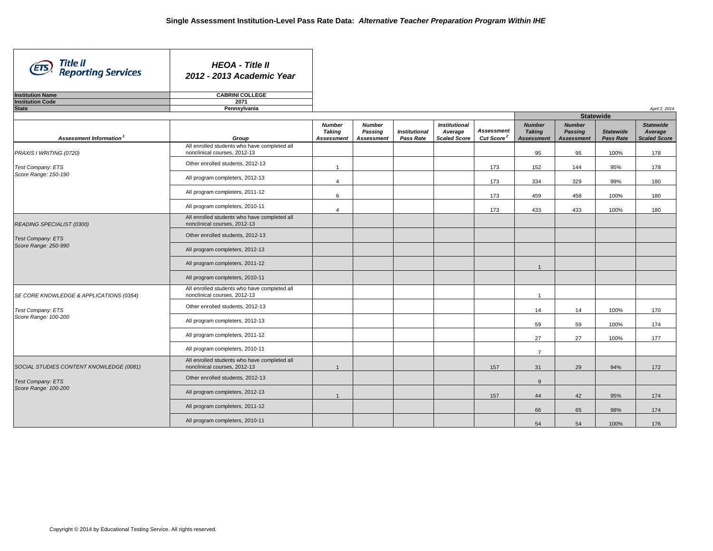| Title II<br>Reporting Services          | <b>HEOA - Title II</b><br>2012 - 2013 Academic Year                          |                                              |                                               |                                   |                                                        |                                             |                                              |                                               |                                      |                                                    |
|-----------------------------------------|------------------------------------------------------------------------------|----------------------------------------------|-----------------------------------------------|-----------------------------------|--------------------------------------------------------|---------------------------------------------|----------------------------------------------|-----------------------------------------------|--------------------------------------|----------------------------------------------------|
| <b>Institution Name</b>                 | <b>CABRINI COLLEGE</b>                                                       |                                              |                                               |                                   |                                                        |                                             |                                              |                                               |                                      |                                                    |
| <b>Institution Code</b>                 | 2071                                                                         |                                              |                                               |                                   |                                                        |                                             |                                              |                                               |                                      |                                                    |
| <b>State</b>                            | Pennsylvania                                                                 |                                              |                                               |                                   |                                                        |                                             |                                              |                                               |                                      | April 2, 2014                                      |
|                                         |                                                                              |                                              |                                               |                                   |                                                        |                                             |                                              | <b>Statewide</b>                              |                                      |                                                    |
| Assessment Information <sup>1</sup>     | Group                                                                        | <b>Number</b><br><b>Taking</b><br>Assessment | <b>Number</b><br>Passing<br><b>Assessment</b> | <b>Institutional</b><br>Pass Rate | <b>Institutional</b><br>Average<br><b>Scaled Score</b> | <b>Assessment</b><br>Cut Score <sup>2</sup> | <b>Number</b><br><b>Taking</b><br>Assessment | <b>Number</b><br>Passing<br><b>Assessment</b> | <b>Statewide</b><br><b>Pass Rate</b> | <b>Statewide</b><br>Average<br><b>Scaled Score</b> |
| PRAXIS I WRITING (0720)                 | All enrolled students who have completed all<br>nonclinical courses, 2012-13 |                                              |                                               |                                   |                                                        |                                             | 95                                           | 95                                            | 100%                                 | 178                                                |
| Test Company: ETS                       | Other enrolled students, 2012-13                                             | $\mathbf{1}$                                 |                                               |                                   |                                                        | 173                                         | 152                                          | 144                                           | 95%                                  | 178                                                |
| Score Range: 150-190                    | All program completers, 2012-13                                              | $\overline{4}$                               |                                               |                                   |                                                        | 173                                         | 334                                          | 329                                           | 99%                                  | 180                                                |
|                                         | All program completers, 2011-12                                              | 6                                            |                                               |                                   |                                                        | 173                                         | 459                                          | 458                                           | 100%                                 | 180                                                |
|                                         | All program completers, 2010-11                                              | $\overline{4}$                               |                                               |                                   |                                                        | 173                                         | 433                                          | 433                                           | 100%                                 | 180                                                |
| READING SPECIALIST (0300)               | All enrolled students who have completed all<br>nonclinical courses, 2012-13 |                                              |                                               |                                   |                                                        |                                             |                                              |                                               |                                      |                                                    |
| Test Company: ETS                       | Other enrolled students, 2012-13                                             |                                              |                                               |                                   |                                                        |                                             |                                              |                                               |                                      |                                                    |
| Score Range: 250-990                    | All program completers, 2012-13                                              |                                              |                                               |                                   |                                                        |                                             |                                              |                                               |                                      |                                                    |
|                                         | All program completers, 2011-12                                              |                                              |                                               |                                   |                                                        |                                             | $\overline{1}$                               |                                               |                                      |                                                    |
|                                         | All program completers, 2010-11                                              |                                              |                                               |                                   |                                                        |                                             |                                              |                                               |                                      |                                                    |
| SE CORE KNOWLEDGE & APPLICATIONS (0354) | All enrolled students who have completed all<br>nonclinical courses, 2012-13 |                                              |                                               |                                   |                                                        |                                             | $\mathbf{1}$                                 |                                               |                                      |                                                    |
| Test Company: ETS                       | Other enrolled students, 2012-13                                             |                                              |                                               |                                   |                                                        |                                             | 14                                           | 14                                            | 100%                                 | 170                                                |
| Score Range: 100-200                    | All program completers, 2012-13                                              |                                              |                                               |                                   |                                                        |                                             | 59                                           | 59                                            | 100%                                 | 174                                                |
|                                         | All program completers, 2011-12                                              |                                              |                                               |                                   |                                                        |                                             | 27                                           | 27                                            | 100%                                 | 177                                                |
|                                         | All program completers, 2010-11                                              |                                              |                                               |                                   |                                                        |                                             | $\overline{7}$                               |                                               |                                      |                                                    |
| SOCIAL STUDIES CONTENT KNOWLEDGE (0081) | All enrolled students who have completed all<br>nonclinical courses, 2012-13 | $\overline{1}$                               |                                               |                                   |                                                        | 157                                         | 31                                           | 29                                            | 94%                                  | 172                                                |
| <b>Test Company: ETS</b>                | Other enrolled students, 2012-13                                             |                                              |                                               |                                   |                                                        |                                             | $9\,$                                        |                                               |                                      |                                                    |
| Score Range: 100-200                    | All program completers, 2012-13                                              | $\overline{1}$                               |                                               |                                   |                                                        | 157                                         | 44                                           | 42                                            | 95%                                  | 174                                                |
|                                         | All program completers, 2011-12                                              |                                              |                                               |                                   |                                                        |                                             | 66                                           | 65                                            | 98%                                  | 174                                                |
|                                         | All program completers, 2010-11                                              |                                              |                                               |                                   |                                                        |                                             | 54                                           | 54                                            | 100%                                 | 176                                                |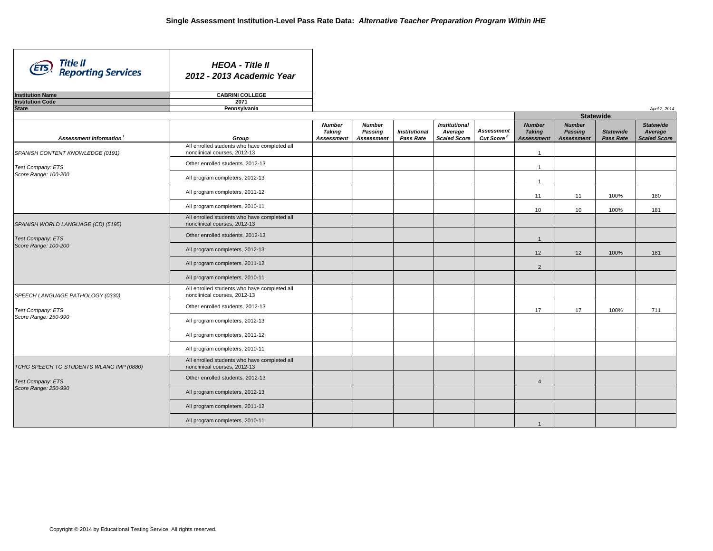| Title II<br>Reporting Services           | <b>HEOA - Title II</b><br>2012 - 2013 Academic Year                          |                                                     |                                               |                                   |                                                        |                                             |                                                     |                                                      |                               |                                                    |
|------------------------------------------|------------------------------------------------------------------------------|-----------------------------------------------------|-----------------------------------------------|-----------------------------------|--------------------------------------------------------|---------------------------------------------|-----------------------------------------------------|------------------------------------------------------|-------------------------------|----------------------------------------------------|
| <b>Institution Name</b>                  | <b>CABRINI COLLEGE</b>                                                       |                                                     |                                               |                                   |                                                        |                                             |                                                     |                                                      |                               |                                                    |
| <b>Institution Code</b>                  | 2071                                                                         |                                                     |                                               |                                   |                                                        |                                             |                                                     |                                                      |                               |                                                    |
| <b>State</b>                             | Pennsylvania                                                                 |                                                     |                                               |                                   |                                                        |                                             |                                                     |                                                      |                               | April 2, 2014                                      |
|                                          |                                                                              |                                                     |                                               |                                   |                                                        |                                             |                                                     |                                                      | <b>Statewide</b>              |                                                    |
| Assessment Information <sup>1</sup>      | Group                                                                        | <b>Number</b><br><b>Taking</b><br><b>Assessment</b> | <b>Number</b><br>Passing<br><b>Assessment</b> | <b>Institutional</b><br>Pass Rate | <b>Institutional</b><br>Average<br><b>Scaled Score</b> | <b>Assessment</b><br>Cut Score <sup>2</sup> | <b>Number</b><br><b>Taking</b><br><b>Assessment</b> | <b>Number</b><br><b>Passing</b><br><b>Assessment</b> | <b>Statewide</b><br>Pass Rate | <b>Statewide</b><br>Average<br><b>Scaled Score</b> |
| SPANISH CONTENT KNOWLEDGE (0191)         | All enrolled students who have completed all<br>nonclinical courses, 2012-13 |                                                     |                                               |                                   |                                                        |                                             | $\overline{1}$                                      |                                                      |                               |                                                    |
| Test Company: ETS                        | Other enrolled students, 2012-13                                             |                                                     |                                               |                                   |                                                        |                                             | $\overline{1}$                                      |                                                      |                               |                                                    |
| Score Range: 100-200                     | All program completers, 2012-13                                              |                                                     |                                               |                                   |                                                        |                                             | $\overline{1}$                                      |                                                      |                               |                                                    |
|                                          | All program completers, 2011-12                                              |                                                     |                                               |                                   |                                                        |                                             | 11                                                  | 11                                                   | 100%                          | 180                                                |
|                                          | All program completers, 2010-11                                              |                                                     |                                               |                                   |                                                        |                                             | 10                                                  | 10                                                   | 100%                          | 181                                                |
| SPANISH WORLD LANGUAGE (CD) (5195)       | All enrolled students who have completed all<br>nonclinical courses, 2012-13 |                                                     |                                               |                                   |                                                        |                                             |                                                     |                                                      |                               |                                                    |
| Test Company: ETS                        | Other enrolled students, 2012-13                                             |                                                     |                                               |                                   |                                                        |                                             | $\overline{1}$                                      |                                                      |                               |                                                    |
| Score Range: 100-200                     | All program completers, 2012-13                                              |                                                     |                                               |                                   |                                                        |                                             | 12                                                  | 12                                                   | 100%                          | 181                                                |
|                                          | All program completers, 2011-12                                              |                                                     |                                               |                                   |                                                        |                                             | 2                                                   |                                                      |                               |                                                    |
|                                          | All program completers, 2010-11                                              |                                                     |                                               |                                   |                                                        |                                             |                                                     |                                                      |                               |                                                    |
| SPEECH LANGUAGE PATHOLOGY (0330)         | All enrolled students who have completed all<br>nonclinical courses, 2012-13 |                                                     |                                               |                                   |                                                        |                                             |                                                     |                                                      |                               |                                                    |
| Test Company: ETS                        | Other enrolled students, 2012-13                                             |                                                     |                                               |                                   |                                                        |                                             | 17                                                  | 17                                                   | 100%                          | 711                                                |
| Score Range: 250-990                     | All program completers, 2012-13                                              |                                                     |                                               |                                   |                                                        |                                             |                                                     |                                                      |                               |                                                    |
|                                          | All program completers, 2011-12                                              |                                                     |                                               |                                   |                                                        |                                             |                                                     |                                                      |                               |                                                    |
|                                          | All program completers, 2010-11                                              |                                                     |                                               |                                   |                                                        |                                             |                                                     |                                                      |                               |                                                    |
| TCHG SPEECH TO STUDENTS WLANG IMP (0880) | All enrolled students who have completed all<br>nonclinical courses, 2012-13 |                                                     |                                               |                                   |                                                        |                                             |                                                     |                                                      |                               |                                                    |
| Test Company: ETS                        | Other enrolled students, 2012-13                                             |                                                     |                                               |                                   |                                                        |                                             | $\overline{4}$                                      |                                                      |                               |                                                    |
| Score Range: 250-990                     | All program completers, 2012-13                                              |                                                     |                                               |                                   |                                                        |                                             |                                                     |                                                      |                               |                                                    |
|                                          | All program completers, 2011-12                                              |                                                     |                                               |                                   |                                                        |                                             |                                                     |                                                      |                               |                                                    |
|                                          | All program completers, 2010-11                                              |                                                     |                                               |                                   |                                                        |                                             | $\overline{1}$                                      |                                                      |                               |                                                    |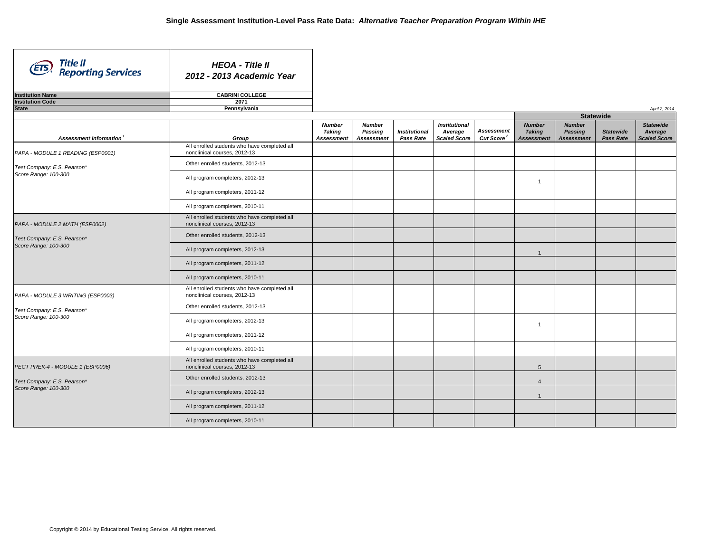| Title II<br>Reporting Services                      | <b>HEOA - Title II</b><br>2012 - 2013 Academic Year                             |                                                     |                                               |                                   |                                                        |                                             |                                                     |                                                      |                               |                                                    |
|-----------------------------------------------------|---------------------------------------------------------------------------------|-----------------------------------------------------|-----------------------------------------------|-----------------------------------|--------------------------------------------------------|---------------------------------------------|-----------------------------------------------------|------------------------------------------------------|-------------------------------|----------------------------------------------------|
| <b>Institution Name</b>                             | <b>CABRINI COLLEGE</b>                                                          |                                                     |                                               |                                   |                                                        |                                             |                                                     |                                                      |                               |                                                    |
| <b>Institution Code</b>                             | 2071                                                                            |                                                     |                                               |                                   |                                                        |                                             |                                                     |                                                      |                               |                                                    |
| <b>State</b>                                        | Pennsylvania                                                                    |                                                     |                                               |                                   |                                                        |                                             |                                                     |                                                      |                               | April 2, 2014                                      |
|                                                     |                                                                                 |                                                     |                                               |                                   |                                                        |                                             |                                                     |                                                      | <b>Statewide</b>              |                                                    |
| Assessment Information <sup>1</sup>                 | Group                                                                           | <b>Number</b><br><b>Taking</b><br><b>Assessment</b> | <b>Number</b><br>Passing<br><b>Assessment</b> | <b>Institutional</b><br>Pass Rate | <b>Institutional</b><br>Average<br><b>Scaled Score</b> | <b>Assessment</b><br>Cut Score <sup>2</sup> | <b>Number</b><br><b>Taking</b><br><b>Assessment</b> | <b>Number</b><br><b>Passing</b><br><b>Assessment</b> | <b>Statewide</b><br>Pass Rate | <b>Statewide</b><br>Average<br><b>Scaled Score</b> |
| PAPA - MODULE 1 READING (ESP0001)                   | All enrolled students who have completed all<br>nonclinical courses, 2012-13    |                                                     |                                               |                                   |                                                        |                                             |                                                     |                                                      |                               |                                                    |
| Test Company: E.S. Pearson*                         | Other enrolled students, 2012-13                                                |                                                     |                                               |                                   |                                                        |                                             |                                                     |                                                      |                               |                                                    |
| Score Range: 100-300                                | All program completers, 2012-13                                                 |                                                     |                                               |                                   |                                                        |                                             | $\overline{1}$                                      |                                                      |                               |                                                    |
|                                                     | All program completers, 2011-12                                                 |                                                     |                                               |                                   |                                                        |                                             |                                                     |                                                      |                               |                                                    |
|                                                     | All program completers, 2010-11<br>All enrolled students who have completed all |                                                     |                                               |                                   |                                                        |                                             |                                                     |                                                      |                               |                                                    |
| PAPA - MODULE 2 MATH (ESP0002)                      | nonclinical courses, 2012-13                                                    |                                                     |                                               |                                   |                                                        |                                             |                                                     |                                                      |                               |                                                    |
| Test Company: E.S. Pearson*<br>Score Range: 100-300 | Other enrolled students, 2012-13                                                |                                                     |                                               |                                   |                                                        |                                             |                                                     |                                                      |                               |                                                    |
|                                                     | All program completers, 2012-13                                                 |                                                     |                                               |                                   |                                                        |                                             |                                                     |                                                      |                               |                                                    |
|                                                     | All program completers, 2011-12                                                 |                                                     |                                               |                                   |                                                        |                                             |                                                     |                                                      |                               |                                                    |
|                                                     | All program completers, 2010-11                                                 |                                                     |                                               |                                   |                                                        |                                             |                                                     |                                                      |                               |                                                    |
| PAPA - MODULE 3 WRITING (ESP0003)                   | All enrolled students who have completed all<br>nonclinical courses, 2012-13    |                                                     |                                               |                                   |                                                        |                                             |                                                     |                                                      |                               |                                                    |
| Test Company: E.S. Pearson*                         | Other enrolled students, 2012-13                                                |                                                     |                                               |                                   |                                                        |                                             |                                                     |                                                      |                               |                                                    |
| Score Range: 100-300                                | All program completers, 2012-13                                                 |                                                     |                                               |                                   |                                                        |                                             | $\overline{1}$                                      |                                                      |                               |                                                    |
|                                                     | All program completers, 2011-12                                                 |                                                     |                                               |                                   |                                                        |                                             |                                                     |                                                      |                               |                                                    |
|                                                     | All program completers, 2010-11                                                 |                                                     |                                               |                                   |                                                        |                                             |                                                     |                                                      |                               |                                                    |
| PECT PREK-4 - MODULE 1 (ESP0006)                    | All enrolled students who have completed all<br>nonclinical courses, 2012-13    |                                                     |                                               |                                   |                                                        |                                             | $5\overline{5}$                                     |                                                      |                               |                                                    |
| Test Company: E.S. Pearson*                         | Other enrolled students, 2012-13                                                |                                                     |                                               |                                   |                                                        |                                             | $\overline{4}$                                      |                                                      |                               |                                                    |
| Score Range: 100-300                                | All program completers, 2012-13                                                 |                                                     |                                               |                                   |                                                        |                                             | $\overline{1}$                                      |                                                      |                               |                                                    |
|                                                     | All program completers, 2011-12                                                 |                                                     |                                               |                                   |                                                        |                                             |                                                     |                                                      |                               |                                                    |
|                                                     | All program completers, 2010-11                                                 |                                                     |                                               |                                   |                                                        |                                             |                                                     |                                                      |                               |                                                    |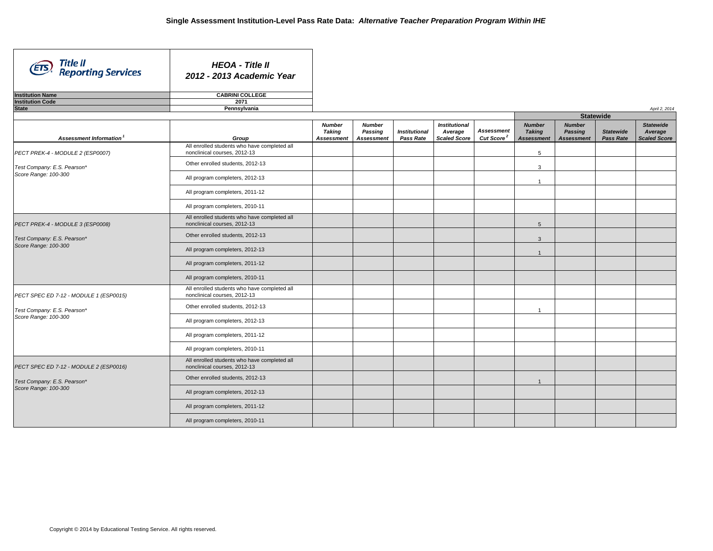| Title II<br>Reporting Services                                                                | <b>HEOA - Title II</b><br>2012 - 2013 Academic Year                          |                                |                          |                      |                                 |                                             |                                |                                 |                  |                             |  |
|-----------------------------------------------------------------------------------------------|------------------------------------------------------------------------------|--------------------------------|--------------------------|----------------------|---------------------------------|---------------------------------------------|--------------------------------|---------------------------------|------------------|-----------------------------|--|
| <b>Institution Name</b>                                                                       | <b>CABRINI COLLEGE</b>                                                       |                                |                          |                      |                                 |                                             |                                |                                 |                  |                             |  |
| <b>Institution Code</b>                                                                       | 2071                                                                         |                                |                          |                      |                                 |                                             |                                |                                 |                  |                             |  |
| <b>State</b>                                                                                  | Pennsylvania                                                                 |                                |                          |                      |                                 |                                             |                                |                                 |                  | April 2, 2014               |  |
|                                                                                               |                                                                              |                                |                          |                      |                                 |                                             | <b>Statewide</b>               |                                 |                  |                             |  |
| Assessment Information <sup>1</sup>                                                           |                                                                              | <b>Number</b><br><b>Taking</b> | <b>Number</b><br>Passing | <b>Institutional</b> | <b>Institutional</b><br>Average | <b>Assessment</b><br>Cut Score <sup>2</sup> | <b>Number</b><br><b>Taking</b> | <b>Number</b><br><b>Passing</b> | <b>Statewide</b> | <b>Statewide</b><br>Average |  |
|                                                                                               | Group                                                                        | Assessment                     | <b>Assessment</b>        | <b>Pass Rate</b>     | <b>Scaled Score</b>             |                                             | <b>Assessment</b>              | <b>Assessment</b>               | <b>Pass Rate</b> | <b>Scaled Score</b>         |  |
| PECT PREK-4 - MODULE 2 (ESP0007)                                                              | All enrolled students who have completed all<br>nonclinical courses, 2012-13 |                                |                          |                      |                                 |                                             | 5                              |                                 |                  |                             |  |
| Test Company: E.S. Pearson*                                                                   | Other enrolled students, 2012-13                                             |                                |                          |                      |                                 |                                             | $\mathbf{3}$                   |                                 |                  |                             |  |
| Score Range: 100-300                                                                          | All program completers, 2012-13                                              |                                |                          |                      |                                 |                                             | $\overline{1}$                 |                                 |                  |                             |  |
|                                                                                               | All program completers, 2011-12                                              |                                |                          |                      |                                 |                                             |                                |                                 |                  |                             |  |
|                                                                                               | All program completers, 2010-11                                              |                                |                          |                      |                                 |                                             |                                |                                 |                  |                             |  |
| PECT PREK-4 - MODULE 3 (ESP0008)<br>Test Company: E.S. Pearson*<br>Score Range: 100-300       | All enrolled students who have completed all<br>nonclinical courses, 2012-13 |                                |                          |                      |                                 |                                             | 5                              |                                 |                  |                             |  |
|                                                                                               | Other enrolled students, 2012-13                                             |                                |                          |                      |                                 |                                             | $\mathbf{3}$                   |                                 |                  |                             |  |
|                                                                                               | All program completers, 2012-13                                              |                                |                          |                      |                                 |                                             | $\overline{1}$                 |                                 |                  |                             |  |
|                                                                                               | All program completers, 2011-12                                              |                                |                          |                      |                                 |                                             |                                |                                 |                  |                             |  |
|                                                                                               | All program completers, 2010-11                                              |                                |                          |                      |                                 |                                             |                                |                                 |                  |                             |  |
| PECT SPEC ED 7-12 - MODULE 1 (ESP0015)<br>Test Company: E.S. Pearson*<br>Score Range: 100-300 | All enrolled students who have completed all<br>nonclinical courses, 2012-13 |                                |                          |                      |                                 |                                             |                                |                                 |                  |                             |  |
|                                                                                               | Other enrolled students, 2012-13                                             |                                |                          |                      |                                 |                                             | $\mathbf{1}$                   |                                 |                  |                             |  |
|                                                                                               | All program completers, 2012-13                                              |                                |                          |                      |                                 |                                             |                                |                                 |                  |                             |  |
|                                                                                               | All program completers, 2011-12                                              |                                |                          |                      |                                 |                                             |                                |                                 |                  |                             |  |
|                                                                                               | All program completers, 2010-11                                              |                                |                          |                      |                                 |                                             |                                |                                 |                  |                             |  |
| PECT SPEC ED 7-12 - MODULE 2 (ESP0016)<br>Test Company: E.S. Pearson*<br>Score Range: 100-300 | All enrolled students who have completed all<br>nonclinical courses, 2012-13 |                                |                          |                      |                                 |                                             |                                |                                 |                  |                             |  |
|                                                                                               | Other enrolled students, 2012-13                                             |                                |                          |                      |                                 |                                             | $\overline{1}$                 |                                 |                  |                             |  |
|                                                                                               | All program completers, 2012-13                                              |                                |                          |                      |                                 |                                             |                                |                                 |                  |                             |  |
|                                                                                               | All program completers, 2011-12                                              |                                |                          |                      |                                 |                                             |                                |                                 |                  |                             |  |
|                                                                                               | All program completers, 2010-11                                              |                                |                          |                      |                                 |                                             |                                |                                 |                  |                             |  |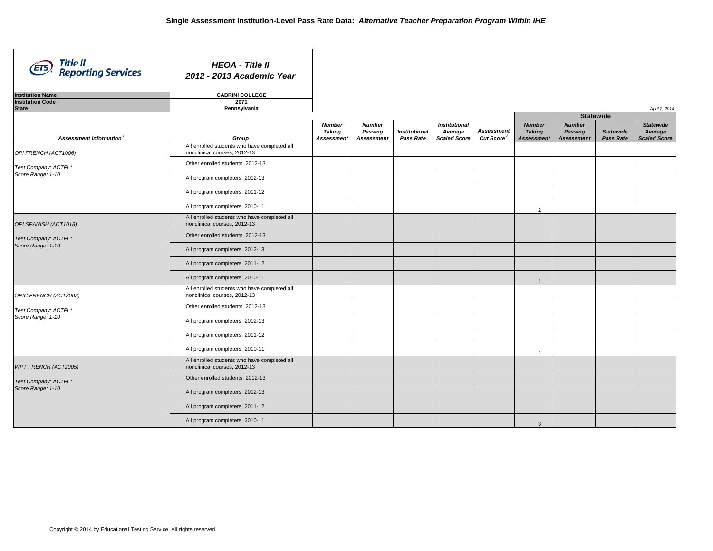| Title II<br>Reporting Services                                     | <b>HEOA - Title II</b><br>2012 - 2013 Academic Year                          |                                       |                                               |                                          |                                                        |                                             |                                                     |                                                      |                                      |                                                    |  |
|--------------------------------------------------------------------|------------------------------------------------------------------------------|---------------------------------------|-----------------------------------------------|------------------------------------------|--------------------------------------------------------|---------------------------------------------|-----------------------------------------------------|------------------------------------------------------|--------------------------------------|----------------------------------------------------|--|
| <b>Institution Name</b>                                            | <b>CABRINI COLLEGE</b>                                                       |                                       |                                               |                                          |                                                        |                                             |                                                     |                                                      |                                      |                                                    |  |
| <b>Institution Code</b>                                            | 2071                                                                         |                                       |                                               |                                          |                                                        |                                             |                                                     |                                                      |                                      |                                                    |  |
| <b>State</b>                                                       | Pennsylvania                                                                 |                                       |                                               |                                          |                                                        |                                             |                                                     |                                                      |                                      | April 2, 2014                                      |  |
|                                                                    |                                                                              |                                       |                                               |                                          |                                                        |                                             | <b>Statewide</b>                                    |                                                      |                                      |                                                    |  |
| Assessment Information <sup>1</sup>                                | Group                                                                        | <b>Number</b><br>Taking<br>Assessment | <b>Number</b><br>Passing<br><b>Assessment</b> | <b>Institutional</b><br><b>Pass Rate</b> | <b>Institutional</b><br>Average<br><b>Scaled Score</b> | <b>Assessment</b><br>Cut Score <sup>2</sup> | <b>Number</b><br><b>Taking</b><br><b>Assessment</b> | <b>Number</b><br><b>Passing</b><br><b>Assessment</b> | <b>Statewide</b><br><b>Pass Rate</b> | <b>Statewide</b><br>Average<br><b>Scaled Score</b> |  |
| OPI FRENCH (ACT1006)                                               | All enrolled students who have completed all<br>nonclinical courses, 2012-13 |                                       |                                               |                                          |                                                        |                                             |                                                     |                                                      |                                      |                                                    |  |
| Test Company: ACTFL*                                               | Other enrolled students, 2012-13                                             |                                       |                                               |                                          |                                                        |                                             |                                                     |                                                      |                                      |                                                    |  |
| Score Range: 1-10                                                  | All program completers, 2012-13                                              |                                       |                                               |                                          |                                                        |                                             |                                                     |                                                      |                                      |                                                    |  |
|                                                                    | All program completers, 2011-12                                              |                                       |                                               |                                          |                                                        |                                             |                                                     |                                                      |                                      |                                                    |  |
|                                                                    | All program completers, 2010-11                                              |                                       |                                               |                                          |                                                        |                                             | $\overline{2}$                                      |                                                      |                                      |                                                    |  |
| OPI SPANISH (ACT1018)<br>Test Company: ACTFL*<br>Score Range: 1-10 | All enrolled students who have completed all<br>nonclinical courses, 2012-13 |                                       |                                               |                                          |                                                        |                                             |                                                     |                                                      |                                      |                                                    |  |
|                                                                    | Other enrolled students, 2012-13                                             |                                       |                                               |                                          |                                                        |                                             |                                                     |                                                      |                                      |                                                    |  |
|                                                                    | All program completers, 2012-13                                              |                                       |                                               |                                          |                                                        |                                             |                                                     |                                                      |                                      |                                                    |  |
|                                                                    | All program completers, 2011-12                                              |                                       |                                               |                                          |                                                        |                                             |                                                     |                                                      |                                      |                                                    |  |
|                                                                    | All program completers, 2010-11                                              |                                       |                                               |                                          |                                                        |                                             | $\overline{1}$                                      |                                                      |                                      |                                                    |  |
| OPIC FRENCH (ACT3003)<br>Test Company: ACTFL*<br>Score Range: 1-10 | All enrolled students who have completed all<br>nonclinical courses, 2012-13 |                                       |                                               |                                          |                                                        |                                             |                                                     |                                                      |                                      |                                                    |  |
|                                                                    | Other enrolled students, 2012-13                                             |                                       |                                               |                                          |                                                        |                                             |                                                     |                                                      |                                      |                                                    |  |
|                                                                    | All program completers, 2012-13                                              |                                       |                                               |                                          |                                                        |                                             |                                                     |                                                      |                                      |                                                    |  |
|                                                                    | All program completers, 2011-12                                              |                                       |                                               |                                          |                                                        |                                             |                                                     |                                                      |                                      |                                                    |  |
|                                                                    | All program completers, 2010-11                                              |                                       |                                               |                                          |                                                        |                                             | $\overline{1}$                                      |                                                      |                                      |                                                    |  |
| WPT FRENCH (ACT2005)<br>Test Company: ACTFL*<br>Score Range: 1-10  | All enrolled students who have completed all<br>nonclinical courses, 2012-13 |                                       |                                               |                                          |                                                        |                                             |                                                     |                                                      |                                      |                                                    |  |
|                                                                    | Other enrolled students, 2012-13                                             |                                       |                                               |                                          |                                                        |                                             |                                                     |                                                      |                                      |                                                    |  |
|                                                                    | All program completers, 2012-13                                              |                                       |                                               |                                          |                                                        |                                             |                                                     |                                                      |                                      |                                                    |  |
|                                                                    | All program completers, 2011-12                                              |                                       |                                               |                                          |                                                        |                                             |                                                     |                                                      |                                      |                                                    |  |
|                                                                    | All program completers, 2010-11                                              |                                       |                                               |                                          |                                                        |                                             | 3                                                   |                                                      |                                      |                                                    |  |